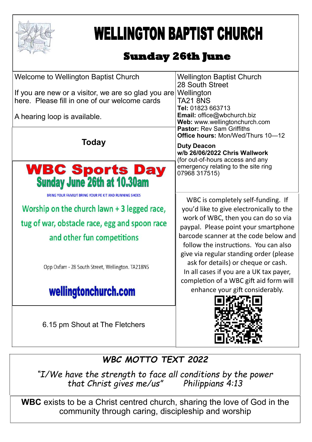

# **WELLINGTON BAPTIST CHURCH**

# **Sunday 26th June**

| <b>Welcome to Wellington Baptist Church</b>                    | <b>Wellington Baptist Church</b><br>28 South Street                              |
|----------------------------------------------------------------|----------------------------------------------------------------------------------|
| If you are new or a visitor, we are so glad you are Wellington |                                                                                  |
| here. Please fill in one of our welcome cards                  | <b>TA21 8NS</b><br>Tel: 01823 663713                                             |
| A hearing loop is available.                                   | <b>Email:</b> office@wbchurch.biz<br>Web: www.wellingtonchurch.com               |
| Today                                                          | <b>Pastor: Rev Sam Griffiths</b><br>Office hours: Mon/Wed/Thurs 10-12            |
|                                                                | <b>Duty Deacon</b><br>w/b 26/06/2022 Chris Wallwork                              |
|                                                                | (for out-of-hours access and any<br>emergency relating to the site ring          |
| <b>WBC Sports Day</b><br>Sunday June 26th at 10.30am           | 07968 317515)                                                                    |
| BRING YOUR FAMILY! BRING YOUR PE KIT AND RUNNING SHOES         |                                                                                  |
|                                                                | WBC is completely self-funding. If                                               |
| Worship on the church lawn $+$ 3 legged race,                  | you'd like to give electronically to the                                         |
| tug of war, obstacle race, egg and spoon race                  | work of WBC, then you can do so via<br>paypal. Please point your smartphone      |
| and other fun competitions                                     | barcode scanner at the code below and                                            |
|                                                                | follow the instructions. You can also<br>give via regular standing order (please |
|                                                                | ask for details) or cheque or cash.                                              |
| Opp Oxfam - 28 South Street, Wellington. TA218NS               | In all cases if you are a UK tax payer,                                          |
|                                                                | completion of a WBC gift aid form will                                           |
| wellingtonchurch.com                                           | enhance your gift considerably.                                                  |
|                                                                |                                                                                  |
| 6.15 pm Shout at The Fletchers                                 |                                                                                  |
|                                                                |                                                                                  |
|                                                                |                                                                                  |

## *WBC MOTTO TEXT 2022*

*"I/We have the strength to face all conditions by the power that Christ gives me/us" Philippians 4:13*

**WBC** exists to be a Christ centred church, sharing the love of God in the community through caring, discipleship and worship